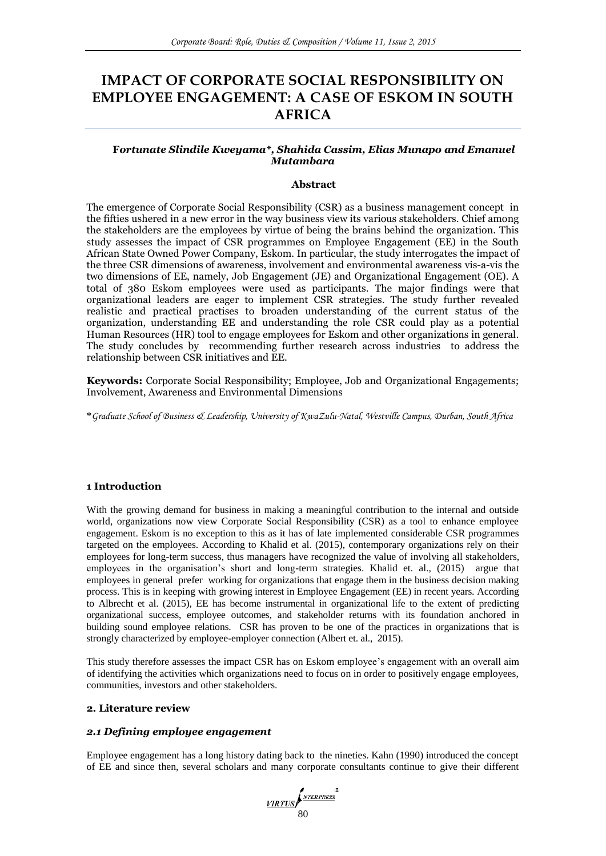# **IMPACT OF CORPORATE SOCIAL RESPONSIBILITY ON EMPLOYEE ENGAGEMENT: A CASE OF ESKOM IN SOUTH AFRICA**

# **F***ortunate Slindile Kweyama\*, Shahida Cassim, Elias Munapo and Emanuel Mutambara*

# **Abstract**

The emergence of Corporate Social Responsibility (CSR) as a business management concept in the fifties ushered in a new error in the way business view its various stakeholders. Chief among the stakeholders are the employees by virtue of being the brains behind the organization. This study assesses the impact of CSR programmes on Employee Engagement (EE) in the South African State Owned Power Company, Eskom. In particular, the study interrogates the impact of the three CSR dimensions of awareness, involvement and environmental awareness vis-a-vis the two dimensions of EE, namely, Job Engagement (JE) and Organizational Engagement (OE). A total of 380 Eskom employees were used as participants. The major findings were that organizational leaders are eager to implement CSR strategies. The study further revealed realistic and practical practises to broaden understanding of the current status of the organization, understanding EE and understanding the role CSR could play as a potential Human Resources (HR) tool to engage employees for Eskom and other organizations in general. The study concludes by recommending further research across industries to address the relationship between CSR initiatives and EE.

**Keywords:** Corporate Social Responsibility; Employee, Job and Organizational Engagements; Involvement, Awareness and Environmental Dimensions

\**Graduate School of Business & Leadership, University of KwaZulu-Natal, Westville Campus, Durban, South Africa*

# **1 Introduction**

With the growing demand for business in making a meaningful contribution to the internal and outside world, organizations now view Corporate Social Responsibility (CSR) as a tool to enhance employee engagement. Eskom is no exception to this as it has of late implemented considerable CSR programmes targeted on the employees. According to Khalid et al. (2015), contemporary organizations rely on their employees for long-term success, thus managers have recognized the value of involving all stakeholders, employees in the organisation's short and long-term strategies. Khalid et. al., (2015) argue that employees in general prefer working for organizations that engage them in the business decision making process. This is in keeping with growing interest in Employee Engagement (EE) in recent years. According to Albrecht et al. (2015), EE has become instrumental in organizational life to the extent of predicting organizational success, employee outcomes, and stakeholder returns with its foundation anchored in building sound employee relations. CSR has proven to be one of the practices in organizations that is strongly characterized by employee-employer connection (Albert et. al., 2015).

This study therefore assesses the impact CSR has on Eskom employee's engagement with an overall aim of identifying the activities which organizations need to focus on in order to positively engage employees, communities, investors and other stakeholders.

# **2. Literature review**

# *2.1 Defining employee engagement*

Employee engagement has a long history dating back to the nineties. Kahn (1990) introduced the concept of EE and since then, several scholars and many corporate consultants continue to give their different

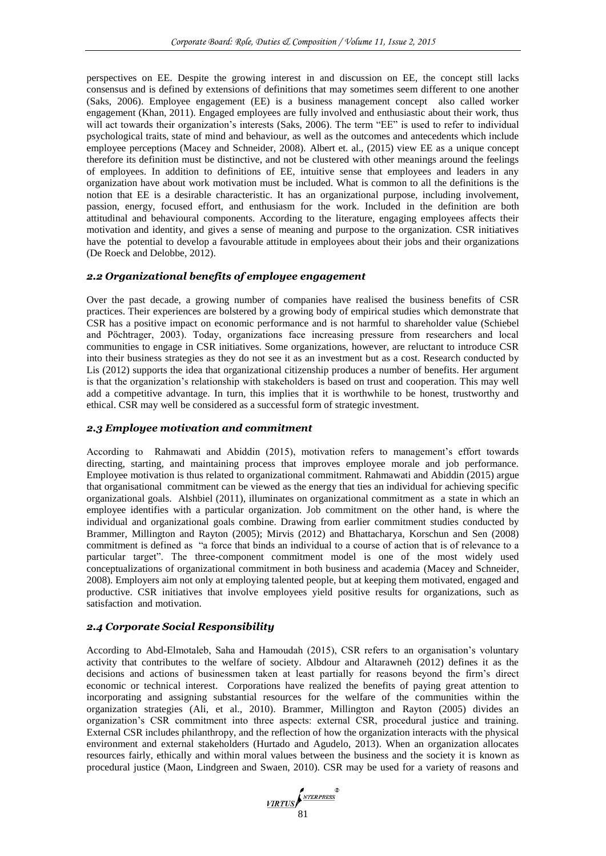perspectives on EE. Despite the growing interest in and discussion on EE, the concept still lacks consensus and is defined by extensions of definitions that may sometimes seem different to one another (Saks, 2006). Employee engagement (EE) is a business management concept also called worker engagement (Khan, 2011). Engaged employees are fully involved and enthusiastic about their work, thus will act towards their organization's interests (Saks, 2006). The term "EE" is used to refer to individual psychological traits, state of mind and behaviour, as well as the outcomes and antecedents which include employee perceptions (Macey and Schneider, 2008). Albert et. al., (2015) view EE as a unique concept therefore its definition must be distinctive, and not be clustered with other meanings around the feelings of employees. In addition to definitions of EE, intuitive sense that employees and leaders in any organization have about work motivation must be included. What is common to all the definitions is the notion that EE is a desirable characteristic. It has an organizational purpose, including involvement, passion, energy, focused effort, and enthusiasm for the work. Included in the definition are both attitudinal and behavioural components. According to the literature, engaging employees affects their motivation and identity, and gives a sense of meaning and purpose to the organization. CSR initiatives have the potential to develop a favourable attitude in employees about their jobs and their organizations (De Roeck and Delobbe, 2012).

### *2.2 Organizational benefits of employee engagement*

Over the past decade, a growing number of companies have realised the business benefits of CSR practices. Their experiences are bolstered by a growing body of empirical studies which demonstrate that CSR has a positive impact on economic performance and is not harmful to shareholder value (Schiebel and Pöchtrager, 2003). Today, organizations face increasing pressure from researchers and local communities to engage in CSR initiatives. Some organizations, however, are reluctant to introduce CSR into their business strategies as they do not see it as an investment but as a cost. Research conducted by Lis (2012) supports the idea that organizational citizenship produces a number of benefits. Her argument is that the organization's relationship with stakeholders is based on trust and cooperation. This may well add a competitive advantage. In turn, this implies that it is worthwhile to be honest, trustworthy and ethical. CSR may well be considered as a successful form of strategic investment.

# *2.3 Employee motivation and commitment*

According to Rahmawati and Abiddin (2015), motivation refers to management's effort towards directing, starting, and maintaining process that improves employee morale and job performance. Employee motivation is thus related to organizational commitment. Rahmawati and Abiddin (2015) argue that organisational commitment can be viewed as the energy that ties an individual for achieving specific organizational goals. Alshbiel (2011), illuminates on organizational commitment as a state in which an employee identifies with a particular organization. Job commitment on the other hand, is where the individual and organizational goals combine. Drawing from earlier commitment studies conducted by Brammer, Millington and Rayton (2005); Mirvis (2012) and Bhattacharya, Korschun and Sen (2008) commitment is defined as "a force that binds an individual to a course of action that is of relevance to a particular target". The three-component commitment model is one of the most widely used conceptualizations of organizational commitment in both business and academia (Macey and Schneider, 2008). Employers aim not only at employing talented people, but at keeping them motivated, engaged and productive. CSR initiatives that involve employees yield positive results for organizations, such as satisfaction and motivation.

# *2.4 Corporate Social Responsibility*

According to Abd-Elmotaleb, Saha and Hamoudah (2015), CSR refers to an organisation's voluntary activity that contributes to the welfare of society. Albdour and Altarawneh (2012) defines it as the decisions and actions of businessmen taken at least partially for reasons beyond the firm's direct economic or technical interest. Corporations have realized the benefits of paying great attention to incorporating and assigning substantial resources for the welfare of the communities within the organization strategies (Ali, et al., 2010). Brammer, Millington and Rayton (2005) divides an organization's CSR commitment into three aspects: external CSR, procedural justice and training. External CSR includes philanthropy, and the reflection of how the organization interacts with the physical environment and external stakeholders (Hurtado and Agudelo, 2013). When an organization allocates resources fairly, ethically and within moral values between the business and the society it is known as procedural justice (Maon, Lindgreen and Swaen, 2010). CSR may be used for a variety of reasons and

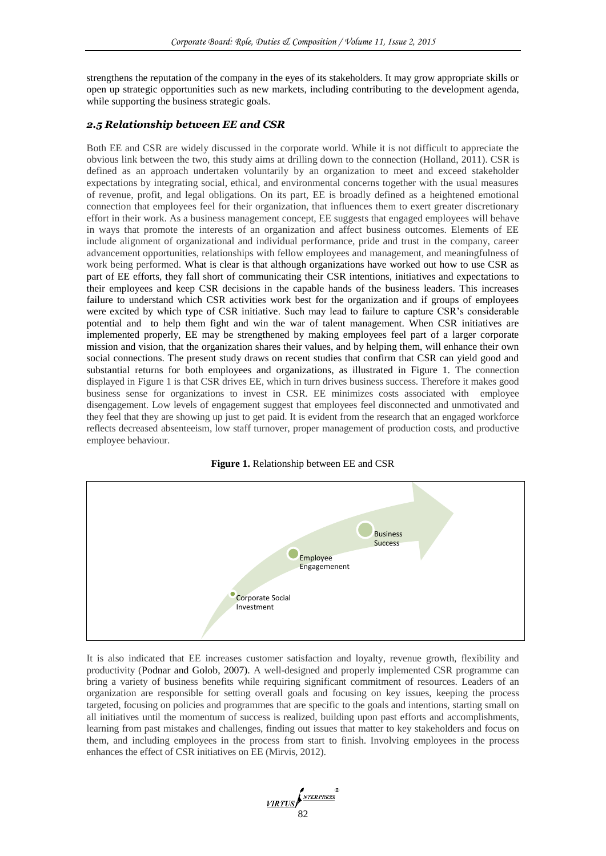strengthens the reputation of the company in the eyes of its stakeholders. It may grow appropriate skills or open up strategic opportunities such as new markets, including contributing to the development agenda, while supporting the business strategic goals.

# *2.5 Relationship between EE and CSR*

Both EE and CSR are widely discussed in the corporate world. While it is not difficult to appreciate the obvious link between the two, this study aims at drilling down to the connection (Holland, 2011). CSR is defined as an approach undertaken voluntarily by an organization to meet and exceed stakeholder expectations by integrating social, ethical, and environmental concerns together with the usual measures of revenue, profit, and legal obligations. On its part, EE is broadly defined as a heightened emotional connection that employees feel for their organization, that influences them to exert greater discretionary effort in their work. As a business management concept, EE suggests that engaged employees will behave in ways that promote the interests of an organization and affect business outcomes. Elements of EE include alignment of organizational and individual performance, pride and trust in the company, career advancement opportunities, relationships with fellow employees and management, and meaningfulness of work being performed. What is clear is that although organizations have worked out how to use CSR as part of EE efforts, they fall short of communicating their CSR intentions, initiatives and expectations to their employees and keep CSR decisions in the capable hands of the business leaders. This increases failure to understand which CSR activities work best for the organization and if groups of employees were excited by which type of CSR initiative. Such may lead to failure to capture CSR's considerable potential and to help them fight and win the war of talent management. When CSR initiatives are implemented properly, EE may be strengthened by making employees feel part of a larger corporate mission and vision, that the organization shares their values, and by helping them, will enhance their own social connections. The present study draws on recent studies that confirm that CSR can yield good and substantial returns for both employees and organizations, as illustrated in Figure 1. The connection displayed in Figure 1 is that CSR drives EE, which in turn drives business success. Therefore it makes good business sense for organizations to invest in CSR. EE minimizes costs associated with employee disengagement. Low levels of engagement suggest that employees feel disconnected and unmotivated and they feel that they are showing up just to get paid. It is evident from the research that an engaged workforce reflects decreased absenteeism, low staff turnover, proper management of production costs, and productive employee behaviour.





It is also indicated that EE increases customer satisfaction and loyalty, revenue growth, flexibility and productivity (Podnar and Golob, 2007). A well-designed and properly implemented CSR programme can bring a variety of business benefits while requiring significant commitment of resources. Leaders of an organization are responsible for setting overall goals and focusing on key issues, keeping the process targeted, focusing on policies and programmes that are specific to the goals and intentions, starting small on all initiatives until the momentum of success is realized, building upon past efforts and accomplishments, learning from past mistakes and challenges, finding out issues that matter to key stakeholders and focus on them, and including employees in the process from start to finish. Involving employees in the process enhances the effect of CSR initiatives on EE (Mirvis, 2012).

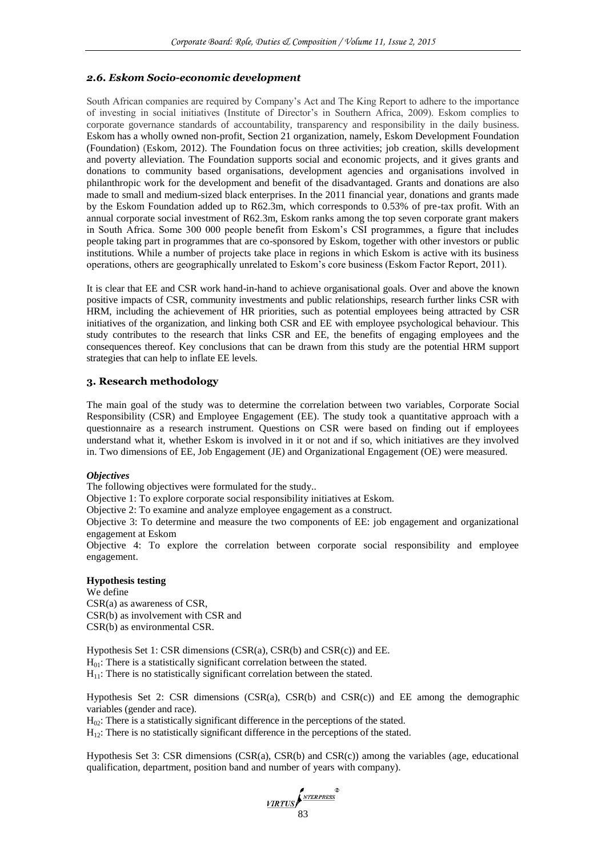# *2.6. Eskom Socio-economic development*

South African companies are required by Company's Act and The King Report to adhere to the importance of investing in social initiatives (Institute of Director's in Southern Africa, 2009). Eskom complies to corporate governance standards of accountability, transparency and responsibility in the daily business. Eskom has a wholly owned non-profit, Section 21 organization, namely, Eskom Development Foundation (Foundation) (Eskom, 2012). The Foundation focus on three activities; job creation, skills development and poverty alleviation. The Foundation supports social and economic projects, and it gives grants and donations to community based organisations, development agencies and organisations involved in philanthropic work for the development and benefit of the disadvantaged. Grants and donations are also made to small and medium-sized black enterprises. In the 2011 financial year, donations and grants made by the Eskom Foundation added up to R62.3m, which corresponds to 0.53% of pre-tax profit. With an annual corporate social investment of R62.3m, Eskom ranks among the top seven corporate grant makers in South Africa. Some 300 000 people benefit from Eskom's CSI programmes, a figure that includes people taking part in programmes that are co-sponsored by Eskom, together with other investors or public institutions. While a number of projects take place in regions in which Eskom is active with its business operations, others are geographically unrelated to Eskom's core business (Eskom Factor Report, 2011).

It is clear that EE and CSR work hand-in-hand to achieve organisational goals. Over and above the known positive impacts of CSR, community investments and public relationships, research further links CSR with HRM, including the achievement of HR priorities, such as potential employees being attracted by CSR initiatives of the organization, and linking both CSR and EE with employee psychological behaviour. This study contributes to the research that links CSR and EE, the benefits of engaging employees and the consequences thereof. Key conclusions that can be drawn from this study are the potential HRM support strategies that can help to inflate EE levels.

#### **3. Research methodology**

The main goal of the study was to determine the correlation between two variables, Corporate Social Responsibility (CSR) and Employee Engagement (EE). The study took a quantitative approach with a questionnaire as a research instrument. Questions on CSR were based on finding out if employees understand what it, whether Eskom is involved in it or not and if so, which initiatives are they involved in. Two dimensions of EE, Job Engagement (JE) and Organizational Engagement (OE) were measured.

#### *Objectives*

The following objectives were formulated for the study..

Objective 1: To explore corporate social responsibility initiatives at Eskom.

Objective 2: To examine and analyze employee engagement as a construct.

Objective 3: To determine and measure the two components of EE: job engagement and organizational engagement at Eskom

Objective 4: To explore the correlation between corporate social responsibility and employee engagement.

### **Hypothesis testing**

We define CSR(a) as awareness of CSR, CSR(b) as involvement with CSR and CSR(b) as environmental CSR.

Hypothesis Set 1: CSR dimensions (CSR(a), CSR(b) and CSR(c)) and EE.  $H<sub>01</sub>$ : There is a statistically significant correlation between the stated.  $H_{11}$ : There is no statistically significant correlation between the stated.

Hypothesis Set 2: CSR dimensions  $(CSR(a), CSR(b)$  and  $CSR(c)$  and EE among the demographic variables (gender and race).

 $H_{02}$ : There is a statistically significant difference in the perceptions of the stated.

 $H_{12}$ : There is no statistically significant difference in the perceptions of the stated.

Hypothesis Set 3: CSR dimensions  $(CSR(a), CSR(b)$  and  $CSR(c)$  among the variables (age, educational qualification, department, position band and number of years with company).

VIRTUS 83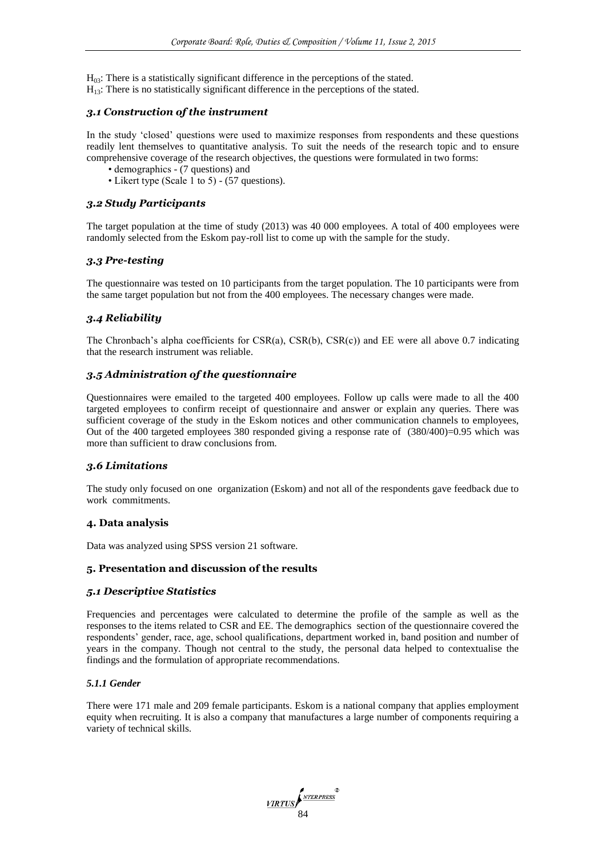H<sub>03</sub>: There is a statistically significant difference in the perceptions of the stated.

# $H_{13}$ : There is no statistically significant difference in the perceptions of the stated.

# *3.1 Construction of the instrument*

In the study 'closed' questions were used to maximize responses from respondents and these questions readily lent themselves to quantitative analysis. To suit the needs of the research topic and to ensure comprehensive coverage of the research objectives, the questions were formulated in two forms:

- demographics (7 questions) and
- Likert type (Scale 1 to 5) (57 questions).

# *3.2 Study Participants*

The target population at the time of study (2013) was 40 000 employees. A total of 400 employees were randomly selected from the Eskom pay-roll list to come up with the sample for the study.

# *3.3 Pre-testing*

The questionnaire was tested on 10 participants from the target population. The 10 participants were from the same target population but not from the 400 employees. The necessary changes were made.

# *3.4 Reliability*

The Chronbach's alpha coefficients for  $CSR(a)$ ,  $CSR(b)$ ,  $CSR(c)$  and EE were all above 0.7 indicating that the research instrument was reliable.

# *3.5 Administration of the questionnaire*

Questionnaires were emailed to the targeted 400 employees. Follow up calls were made to all the 400 targeted employees to confirm receipt of questionnaire and answer or explain any queries. There was sufficient coverage of the study in the Eskom notices and other communication channels to employees, Out of the 400 targeted employees 380 responded giving a response rate of  $(380/400)=0.95$  which was more than sufficient to draw conclusions from.

# *3.6 Limitations*

The study only focused on one organization (Eskom) and not all of the respondents gave feedback due to work commitments.

# **4. Data analysis**

Data was analyzed using SPSS version 21 software.

# **5. Presentation and discussion of the results**

# *5.1 Descriptive Statistics*

Frequencies and percentages were calculated to determine the profile of the sample as well as the responses to the items related to CSR and EE. The demographics section of the questionnaire covered the respondents' gender, race, age, school qualifications, department worked in, band position and number of years in the company. Though not central to the study, the personal data helped to contextualise the findings and the formulation of appropriate recommendations.

# *5.1.1 Gender*

There were 171 male and 209 female participants. Eskom is a national company that applies employment equity when recruiting. It is also a company that manufactures a large number of components requiring a variety of technical skills.

VIRTUS SA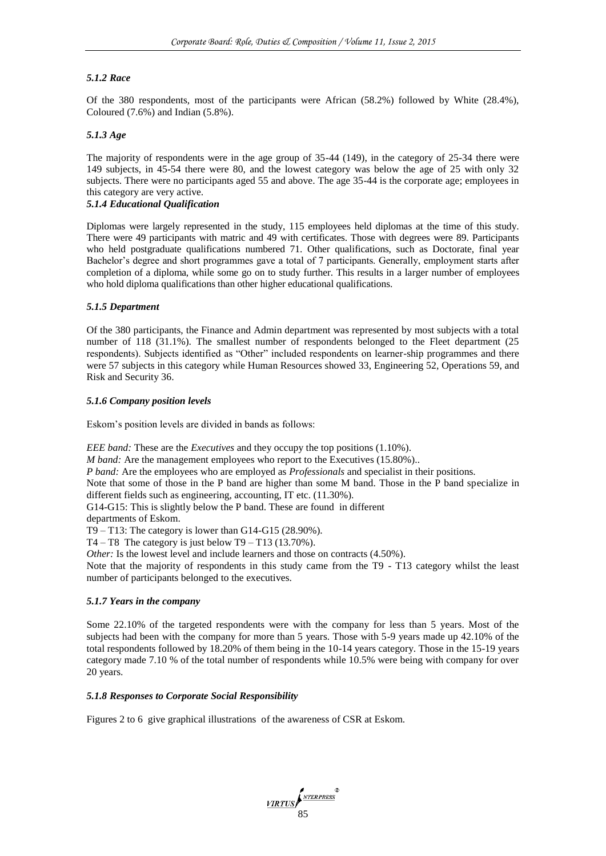### *5.1.2 Race*

Of the 380 respondents, most of the participants were African (58.2%) followed by White (28.4%), Coloured (7.6%) and Indian (5.8%).

# *5.1.3 Age*

The majority of respondents were in the age group of 35-44 (149), in the category of 25-34 there were 149 subjects, in 45-54 there were 80, and the lowest category was below the age of 25 with only 32 subjects. There were no participants aged 55 and above. The age 35-44 is the corporate age; employees in this category are very active.

#### *5.1.4 Educational Qualification*

Diplomas were largely represented in the study, 115 employees held diplomas at the time of this study. There were 49 participants with matric and 49 with certificates. Those with degrees were 89. Participants who held postgraduate qualifications numbered 71. Other qualifications, such as Doctorate, final year Bachelor's degree and short programmes gave a total of 7 participants. Generally, employment starts after completion of a diploma, while some go on to study further. This results in a larger number of employees who hold diploma qualifications than other higher educational qualifications.

#### *5.1.5 Department*

Of the 380 participants, the Finance and Admin department was represented by most subjects with a total number of 118 (31.1%). The smallest number of respondents belonged to the Fleet department (25 respondents). Subjects identified as "Other" included respondents on learner-ship programmes and there were 57 subjects in this category while Human Resources showed 33, Engineering 52, Operations 59, and Risk and Security 36.

#### *5.1.6 Company position levels*

Eskom's position levels are divided in bands as follows:

*EEE band:* These are the *Executives* and they occupy the top positions (1.10%).

*M band:* Are the management employees who report to the Executives (15.80%)..

*P band:* Are the employees who are employed as *Professionals* and specialist in their positions.

Note that some of those in the P band are higher than some M band. Those in the P band specialize in different fields such as engineering, accounting, IT etc. (11.30%).

G14-G15: This is slightly below the P band. These are found in different

departments of Eskom.

T9 – T13: The category is lower than G14-G15  $(28.90\%)$ .

 $T4 - T8$  The category is just below  $T9 - T13$  (13.70%).

*Other:* Is the lowest level and include learners and those on contracts (4.50%).

Note that the majority of respondents in this study came from the T9 - T13 category whilst the least number of participants belonged to the executives.

#### *5.1.7 Years in the company*

Some 22.10% of the targeted respondents were with the company for less than 5 years. Most of the subjects had been with the company for more than 5 years. Those with 5-9 years made up 42.10% of the total respondents followed by 18.20% of them being in the 10-14 years category. Those in the 15-19 years category made 7.10 % of the total number of respondents while 10.5% were being with company for over 20 years.

#### *5.1.8 Responses to Corporate Social Responsibility*

Figures 2 to 6 give graphical illustrations of the awareness of CSR at Eskom.

VIRTUS (<sup>NTERPRESS</sup><sup>®</sup>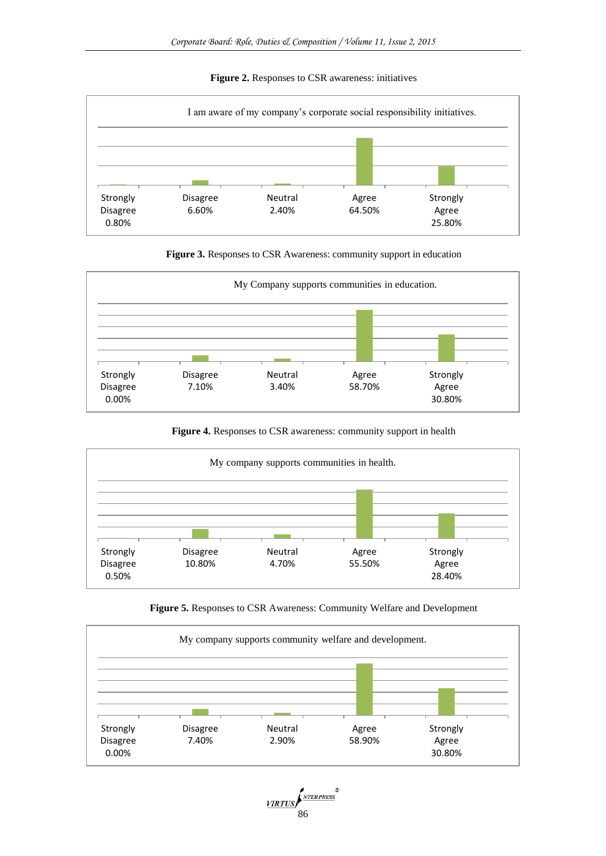# **Figure 2.** Responses to CSR awareness: initiatives







**Figure 4.** Responses to CSR awareness: community support in health



**Figure 5.** Responses to CSR Awareness: Community Welfare and Development



VIRTUS<br>86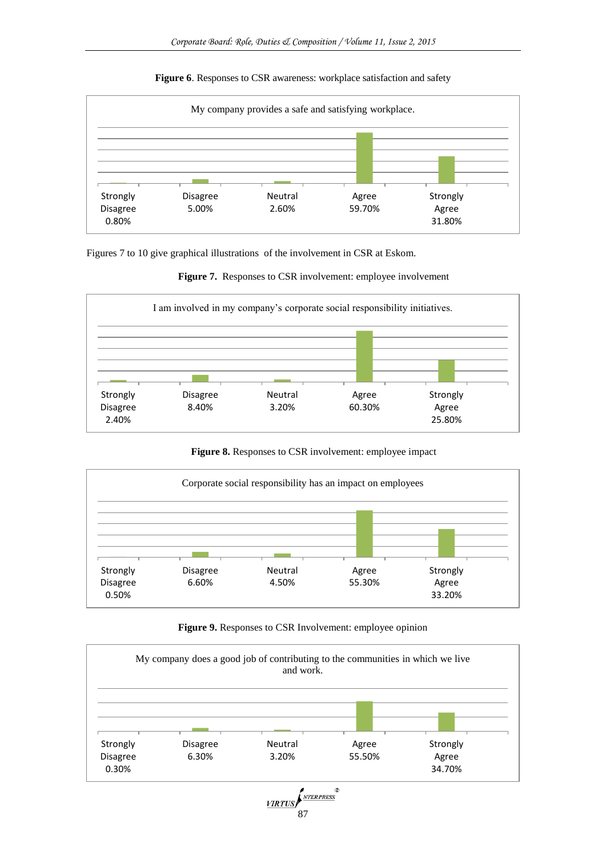

2.60%

### **Figure 6**. Responses to CSR awareness: workplace satisfaction and safety

Figures 7 to 10 give graphical illustrations of the involvement in CSR at Eskom.

5.00%

Disagree 0.80%



59.70%

Agree 31.80%



**Figure 8.** Responses to CSR involvement: employee impact



**Figure 9.** Responses to CSR Involvement: employee opinion

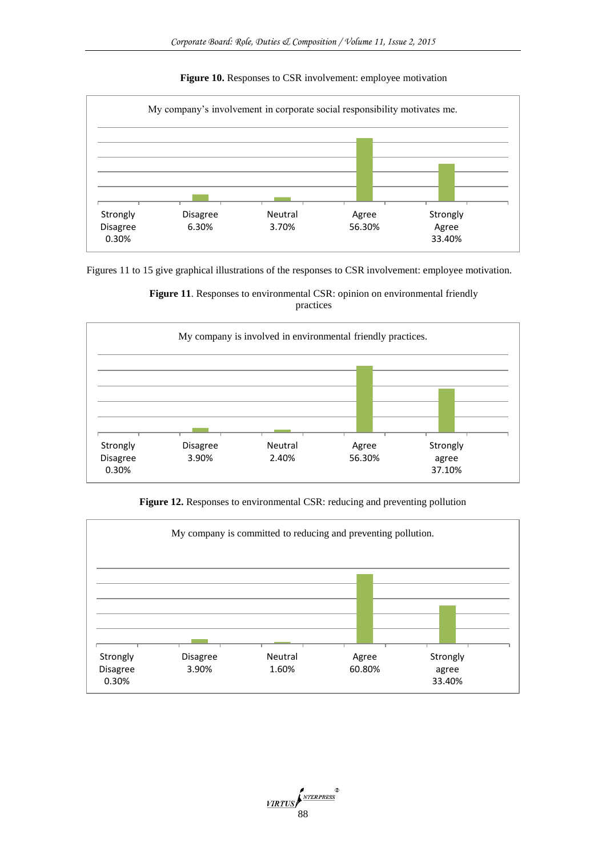# **Figure 10.** Responses to CSR involvement: employee motivation



Figures 11 to 15 give graphical illustrations of the responses to CSR involvement: employee motivation.





**Figure 12.** Responses to environmental CSR: reducing and preventing pollution



VIRTUS (<sup>NTERPRESS</sup>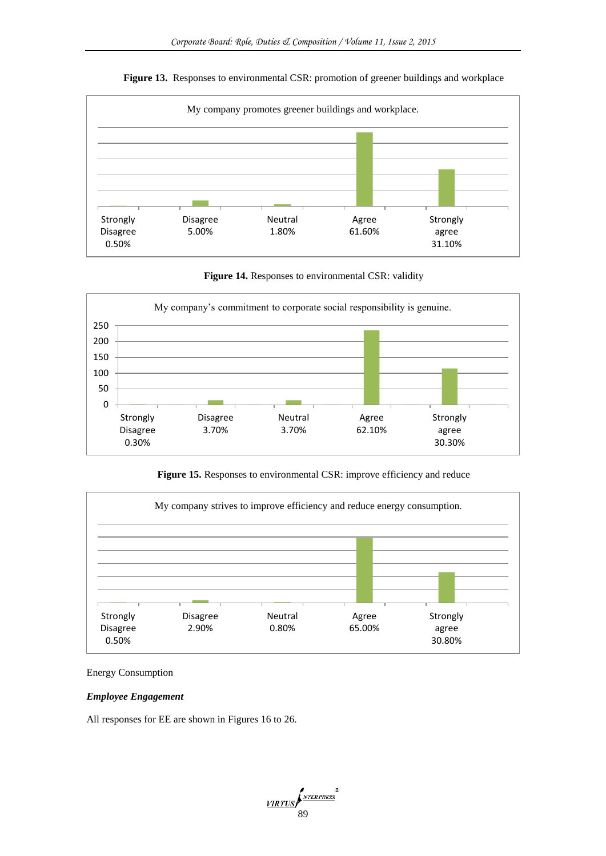

# **Figure 13.** Responses to environmental CSR: promotion of greener buildings and workplace

**Figure 14.** Responses to environmental CSR: validity



Figure 15. Responses to environmental CSR: improve efficiency and reduce



# Energy Consumption

### *Employee Engagement*

All responses for EE are shown in Figures 16 to 26.

VIRTUS (<sup>NTERPRESS</sup><sup>®</sup>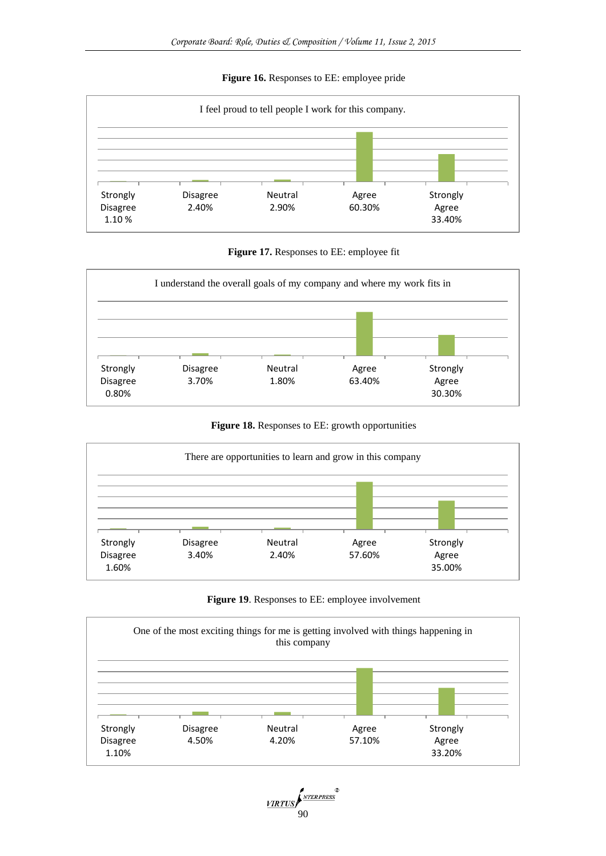# **Figure 16.** Responses to EE: employee pride



**Figure 17.** Responses to EE: employee fit



**Figure 18.** Responses to EE: growth opportunities







VIRTUS<br>90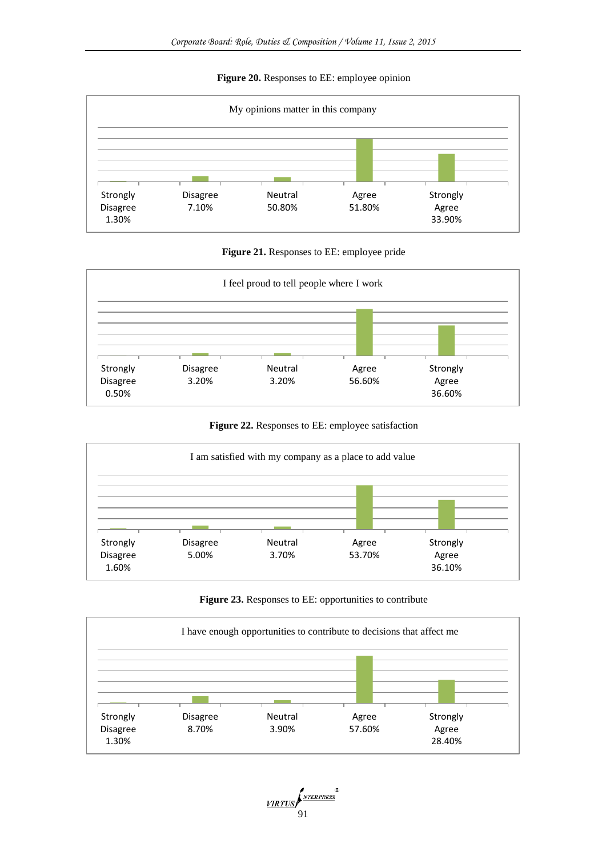# **Figure 20.** Responses to EE: employee opinion



**Figure 21.** Responses to EE: employee pride



**Figure 22.** Responses to EE: employee satisfaction





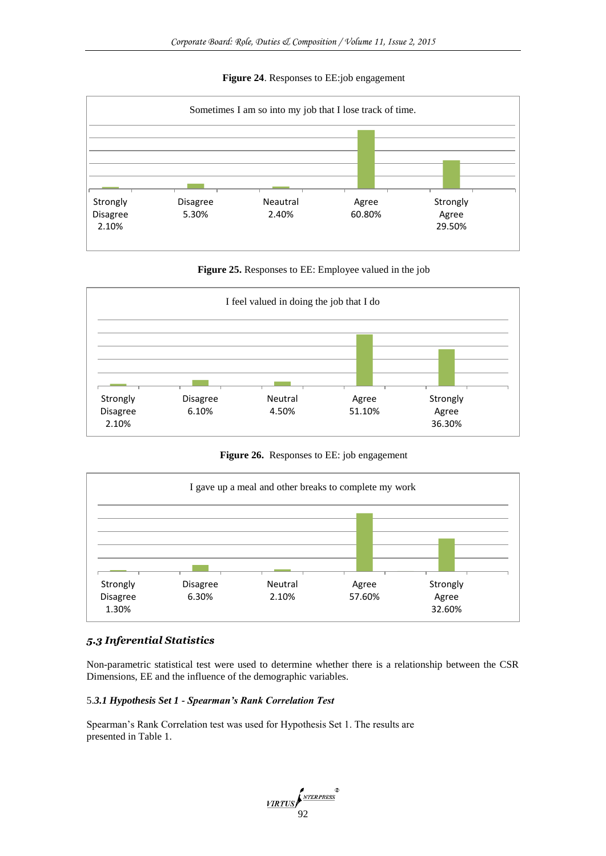# **Figure 24**. Responses to EE:job engagement



**Figure 25.** Responses to EE: Employee valued in the job



**Figure 26.** Responses to EE: job engagement



# *5.3 Inferential Statistics*

Non-parametric statistical test were used to determine whether there is a relationship between the CSR Dimensions, EE and the influence of the demographic variables.

#### 5.*3.1 Hypothesis Set 1 - Spearman's Rank Correlation Test*

Spearman's Rank Correlation test was used for Hypothesis Set 1. The results are presented in Table 1.

VIRTUS (<sup>NTERPRESS</sup><sup>®</sup>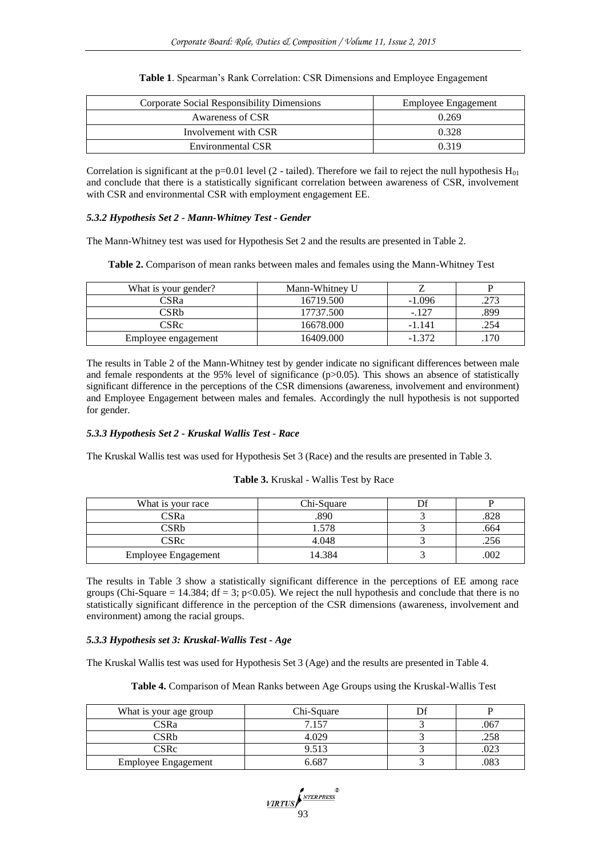| Corporate Social Responsibility Dimensions | Employee Engagement |
|--------------------------------------------|---------------------|
| Awareness of CSR                           | 0.269               |
| Involvement with CSR                       | 0.328               |
| Environmental CSR                          | 0.319               |

#### **Table 1**. Spearman's Rank Correlation: CSR Dimensions and Employee Engagement

Correlation is significant at the p=0.01 level (2 - tailed). Therefore we fail to reject the null hypothesis  $H_{01}$ and conclude that there is a statistically significant correlation between awareness of CSR, involvement with CSR and environmental CSR with employment engagement EE.

### *5.3.2 Hypothesis Set 2 - Mann-Whitney Test - Gender*

The Mann-Whitney test was used for Hypothesis Set 2 and the results are presented in Table 2.

**Table 2.** Comparison of mean ranks between males and females using the Mann-Whitney Test

| What is your gender? | Mann-Whitney U |          |      |
|----------------------|----------------|----------|------|
| CSRa                 | 16719.500      | $-1.096$ | .273 |
| CSRb                 | 17737.500      | $-.127$  | .899 |
| <b>CSRc</b>          | 16678.000      | -1.141   | .254 |
| Employee engagement  | 16409.000      | $-1.372$ |      |

The results in Table 2 of the Mann-Whitney test by gender indicate no significant differences between male and female respondents at the 95% level of significance (p>0.05). This shows an absence of statistically significant difference in the perceptions of the CSR dimensions (awareness, involvement and environment) and Employee Engagement between males and females. Accordingly the null hypothesis is not supported for gender.

# *5.3.3 Hypothesis Set 2 - Kruskal Wallis Test - Race*

The Kruskal Wallis test was used for Hypothesis Set 3 (Race) and the results are presented in Table 3.

|  | Table 3. Kruskal - Wallis Test by Race |  |  |  |
|--|----------------------------------------|--|--|--|
|--|----------------------------------------|--|--|--|

| What is your race          | Chi-Square |      |
|----------------------------|------------|------|
| $\mathbb{S}$ Ra            | .890       |      |
| `SRb                       |            | .664 |
| CSRc                       | 4.048      |      |
| <b>Employee Engagement</b> | 4.384      | 002  |

The results in Table 3 show a statistically significant difference in the perceptions of EE among race groups (Chi-Square = 14.384; df = 3; p<0.05). We reject the null hypothesis and conclude that there is no statistically significant difference in the perception of the CSR dimensions (awareness, involvement and environment) among the racial groups.

# *5.3.3 Hypothesis set 3: Kruskal-Wallis Test - Age*

The Kruskal Wallis test was used for Hypothesis Set 3 (Age) and the results are presented in Table 4.

**Table 4.** Comparison of Mean Ranks between Age Groups using the Kruskal-Wallis Test

| What is your age group     | Chi-Square |      |
|----------------------------|------------|------|
| CSRa                       | 7 1 5 7    | .067 |
| CSRb                       | 4.029      | .258 |
| CSRc                       | 9.513      |      |
| <b>Employee Engagement</b> | ა 687      | .083 |

VIRTUS (<sup>NTERPRESS</sup><sup>®</sup>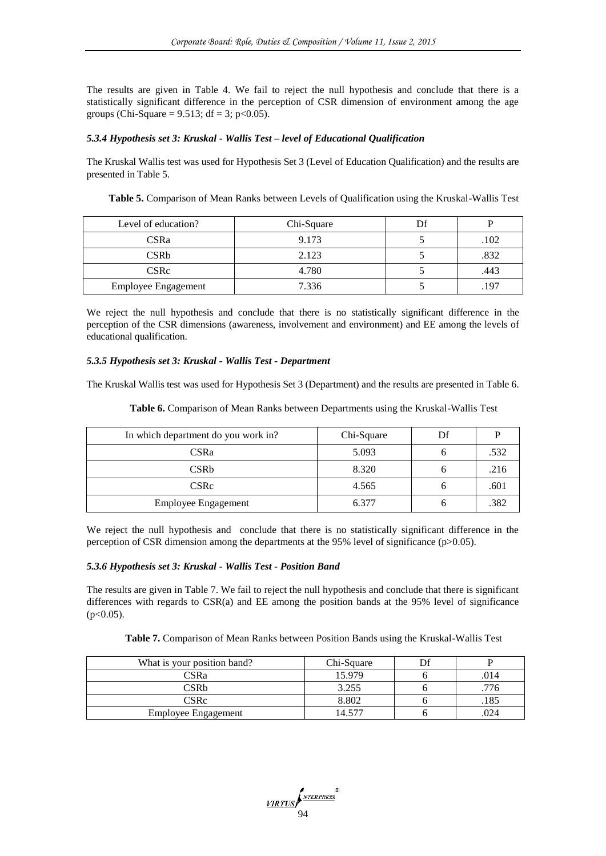The results are given in Table 4. We fail to reject the null hypothesis and conclude that there is a statistically significant difference in the perception of CSR dimension of environment among the age groups (Chi-Square =  $9.513$ ; df = 3; p<0.05).

# *5.3.4 Hypothesis set 3: Kruskal - Wallis Test – level of Educational Qualification*

The Kruskal Wallis test was used for Hypothesis Set 3 (Level of Education Qualification) and the results are presented in Table 5.

| Table 5. Comparison of Mean Ranks between Levels of Qualification using the Kruskal-Wallis Test |  |
|-------------------------------------------------------------------------------------------------|--|
|-------------------------------------------------------------------------------------------------|--|

| Level of education?        | Chi-Square |      |
|----------------------------|------------|------|
| CSRa                       | 9.173      | 102  |
| <b>CSRb</b>                | 2.123      | .832 |
| <b>CSRc</b>                | 4.780      | 443  |
| <b>Employee Engagement</b> | 7.336      |      |

We reject the null hypothesis and conclude that there is no statistically significant difference in the perception of the CSR dimensions (awareness, involvement and environment) and EE among the levels of educational qualification.

# *5.3.5 Hypothesis set 3: Kruskal - Wallis Test - Department*

The Kruskal Wallis test was used for Hypothesis Set 3 (Department) and the results are presented in Table 6.

**Table 6.** Comparison of Mean Ranks between Departments using the Kruskal-Wallis Test

| In which department do you work in? | Chi-Square | Df |      |
|-------------------------------------|------------|----|------|
| <b>CSRa</b>                         | 5.093      |    | .532 |
| <b>CSRb</b>                         | 8.320      |    | .216 |
| <b>CSRc</b>                         | 4.565      |    | .601 |
| <b>Employee Engagement</b>          | 6.377      |    | .382 |

We reject the null hypothesis and conclude that there is no statistically significant difference in the perception of CSR dimension among the departments at the 95% level of significance (p>0.05).

# *5.3.6 Hypothesis set 3: Kruskal - Wallis Test - Position Band*

The results are given in Table 7. We fail to reject the null hypothesis and conclude that there is significant differences with regards to CSR(a) and EE among the position bands at the 95% level of significance  $(p<0.05)$ .

| Table 7. Comparison of Mean Ranks between Position Bands using the Kruskal-Wallis Test |  |
|----------------------------------------------------------------------------------------|--|
|----------------------------------------------------------------------------------------|--|

| What is your position band? | Chi-Square |      |
|-----------------------------|------------|------|
| CSRa                        | 15.979     | .014 |
| CSRb                        | 3.255      |      |
| CSRc                        | 8.802      |      |
| <b>Employee Engagement</b>  | 14.577     | 024  |

VIRTUS PATERPRESS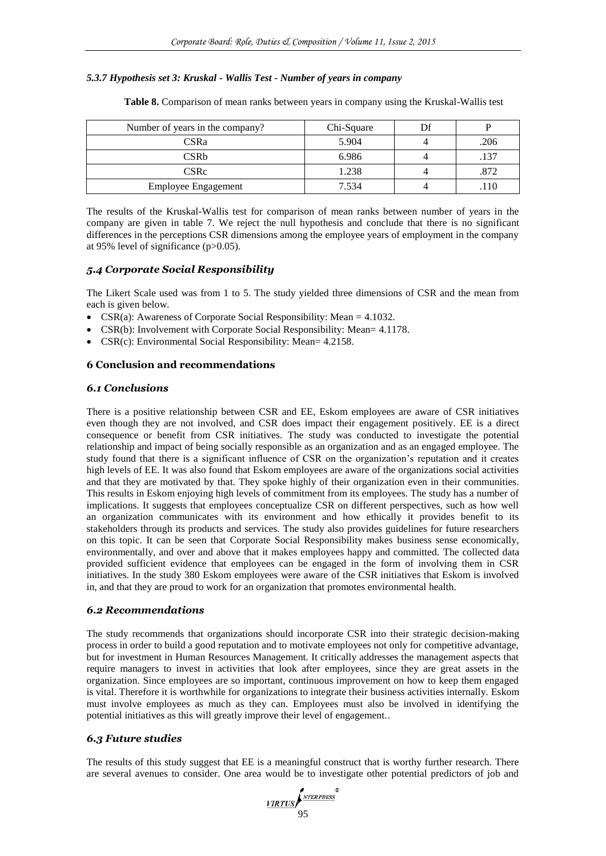### *5.3.7 Hypothesis set 3: Kruskal - Wallis Test - Number of years in company*

| Number of years in the company? | Chi-Square | Df |      |
|---------------------------------|------------|----|------|
| <b>CSRa</b>                     | 5.904      |    | .206 |
| <b>CSRb</b>                     | 6.986      |    | .137 |
| <b>CSRc</b>                     | 1.238      |    | .872 |
| <b>Employee Engagement</b>      | 7.534      |    |      |

**Table 8.** Comparison of mean ranks between years in company using the Kruskal-Wallis test

The results of the Kruskal-Wallis test for comparison of mean ranks between number of years in the company are given in table 7. We reject the null hypothesis and conclude that there is no significant differences in the perceptions CSR dimensions among the employee years of employment in the company at 95% level of significance (p>0.05).

### *5.4 Corporate Social Responsibility*

The Likert Scale used was from 1 to 5. The study yielded three dimensions of CSR and the mean from each is given below.

- CSR(a): Awareness of Corporate Social Responsibility: Mean  $= 4.1032$ .
- CSR(b): Involvement with Corporate Social Responsibility: Mean= 4.1178.
- CSR(c): Environmental Social Responsibility: Mean= 4.2158.

### **6 Conclusion and recommendations**

# *6.1 Conclusions*

There is a positive relationship between CSR and EE, Eskom employees are aware of CSR initiatives even though they are not involved, and CSR does impact their engagement positively. EE is a direct consequence or benefit from CSR initiatives. The study was conducted to investigate the potential relationship and impact of being socially responsible as an organization and as an engaged employee. The study found that there is a significant influence of CSR on the organization's reputation and it creates high levels of EE. It was also found that Eskom employees are aware of the organizations social activities and that they are motivated by that. They spoke highly of their organization even in their communities. This results in Eskom enjoying high levels of commitment from its employees. The study has a number of implications. It suggests that employees conceptualize CSR on different perspectives, such as how well an organization communicates with its environment and how ethically it provides benefit to its stakeholders through its products and services. The study also provides guidelines for future researchers on this topic. It can be seen that Corporate Social Responsibility makes business sense economically, environmentally, and over and above that it makes employees happy and committed. The collected data provided sufficient evidence that employees can be engaged in the form of involving them in CSR initiatives. In the study 380 Eskom employees were aware of the CSR initiatives that Eskom is involved in, and that they are proud to work for an organization that promotes environmental health.

#### *6.2 Recommendations*

The study recommends that organizations should incorporate CSR into their strategic decision-making process in order to build a good reputation and to motivate employees not only for competitive advantage, but for investment in Human Resources Management. It critically addresses the management aspects that require managers to invest in activities that look after employees, since they are great assets in the organization. Since employees are so important, continuous improvement on how to keep them engaged is vital. Therefore it is worthwhile for organizations to integrate their business activities internally. Eskom must involve employees as much as they can. Employees must also be involved in identifying the potential initiatives as this will greatly improve their level of engagement..

# *6.3 Future studies*

The results of this study suggest that EE is a meaningful construct that is worthy further research. There are several avenues to consider. One area would be to investigate other potential predictors of job and

VIRTUS (<sup>NTERPRESS</sup><sup>®</sup>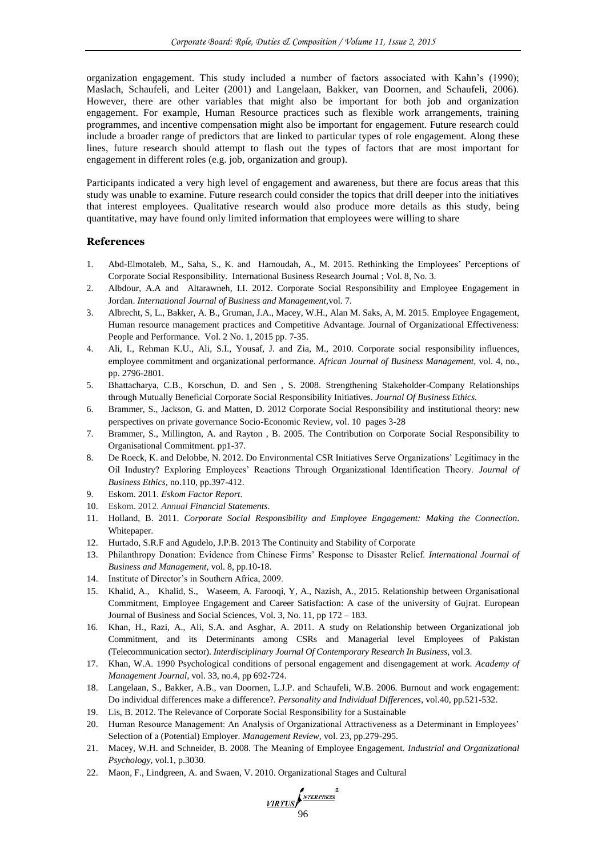organization engagement. This study included a number of factors associated with Kahn's (1990); Maslach, Schaufeli, and Leiter (2001) and Langelaan, Bakker, van Doornen, and Schaufeli, 2006). However, there are other variables that might also be important for both job and organization engagement. For example, Human Resource practices such as flexible work arrangements, training programmes, and incentive compensation might also be important for engagement. Future research could include a broader range of predictors that are linked to particular types of role engagement. Along these lines, future research should attempt to flash out the types of factors that are most important for engagement in different roles (e.g. job, organization and group).

Participants indicated a very high level of engagement and awareness, but there are focus areas that this study was unable to examine. Future research could consider the topics that drill deeper into the initiatives that interest employees. Qualitative research would also produce more details as this study, being quantitative, may have found only limited information that employees were willing to share

# **References**

- 1. Abd-Elmotaleb, M., Saha, S., K. and Hamoudah, A., M. 2015. Rethinking the Employees' Perceptions of Corporate Social Responsibility. International Business Research Journal ; Vol. 8, No. 3.
- 2. Albdour, A.A and Altarawneh, I.I. 2012. Corporate Social Responsibility and Employee Engagement in Jordan. *International Journal of Business and Management,*vol. 7.
- 3. Albrecht, S, L., Bakker, A. B., Gruman, J.A., Macey, W.H., Alan M. Saks, A, M. 2015. Employee Engagement, Human resource management practices and Competitive Advantage. Journal of Organizational Effectiveness: People and Performance. Vol. 2 No. 1, 2015 pp. 7-35.
- 4. Ali, I., Rehman K.U., Ali, S.I., Yousaf, J. and Zia, M., 2010. Corporate social responsibility influences, employee commitment and organizational performance. *African Journal of Business Management,* vol. 4, no., pp. 2796-2801.
- 5. Bhattacharya, C.B., Korschun, D. and Sen , S. 2008. Strengthening Stakeholder-Company Relationships through Mutually Beneficial Corporate Social Responsibility Initiatives. *Journal Of Business Ethics.*
- 6. Brammer, S., Jackson, G. and Matten, D. 2012 Corporate Social Responsibility and institutional theory: new perspectives on private governance Socio-Economic Review, vol. 10 pages 3-28
- 7. Brammer, S., Millington, A. and Rayton , B. 2005. The Contribution on Corporate Social Responsibility to Organisational Commitment. pp1-37.
- 8. De Roeck, K. and Delobbe, N. 2012. Do Environmental CSR Initiatives Serve Organizations' Legitimacy in the Oil Industry? Exploring Employees' Reactions Through Organizational Identification Theory. *Journal of Business Ethics,* no.110, pp.397-412.
- 9. Eskom. 2011*. Eskom Factor Report*.
- 10. Eskom. 2012. *Annual Financial Statements*.
- 11. Holland, B. 2011. *Corporate Social Responsibility and Employee Engagement: Making the Connection*. Whitepaper.
- 12. Hurtado, S.R.F and Agudelo, J.P.B. 2013 The Continuity and Stability of Corporate
- 13. Philanthropy Donation: Evidence from Chinese Firms' Response to Disaster Relief. *International Journal of Business and Management,* vol. 8, pp.10-18.
- 14. Institute of Director's in Southern Africa, 2009.
- 15. Khalid, A., Khalid, S., Waseem, A. Farooqi, Y, A., Nazish, A., 2015. Relationship between Organisational Commitment, Employee Engagement and Career Satisfaction: A case of the university of Gujrat. European Journal of Business and Social Sciences, Vol. 3, No. 11, pp 172 – 183.
- 16. Khan, H., Razi, A., Ali, S.A. and Asghar, A. 2011. A study on Relationship between Organizational job Commitment, and its Determinants among CSRs and Managerial level Employees of Pakistan (Telecommunication sector). *Interdisciplinary Journal Of Contemporary Research In Business*, vol.3.
- 17. Khan, W.A. 1990 Psychological conditions of personal engagement and disengagement at work. *Academy of Management Journal,* vol. 33, no.4, pp 692-724.
- 18. Langelaan, S., Bakker, A.B., van Doornen, L.J.P. and Schaufeli, W.B. 2006. Burnout and work engagement: Do individual differences make a difference?. *Personality and Individual Differences*, vol.40, pp.521-532.
- 19. Lis, B. 2012. The Relevance of Corporate Social Responsibility for a Sustainable
- 20. Human Resource Management: An Analysis of Organizational Attractiveness as a Determinant in Employees' Selection of a (Potential) Employer. *Management Review*, vol. 23, pp.279-295.
- 21. Macey, W.H. and Schneider, B. 2008. The Meaning of Employee Engagement. *Industrial and Organizational Psychology*, vol.1, p.3030.
- 22. Maon, F., Lindgreen, A. and Swaen, V. 2010. Organizational Stages and Cultural

VIRTUS STEEPRESS